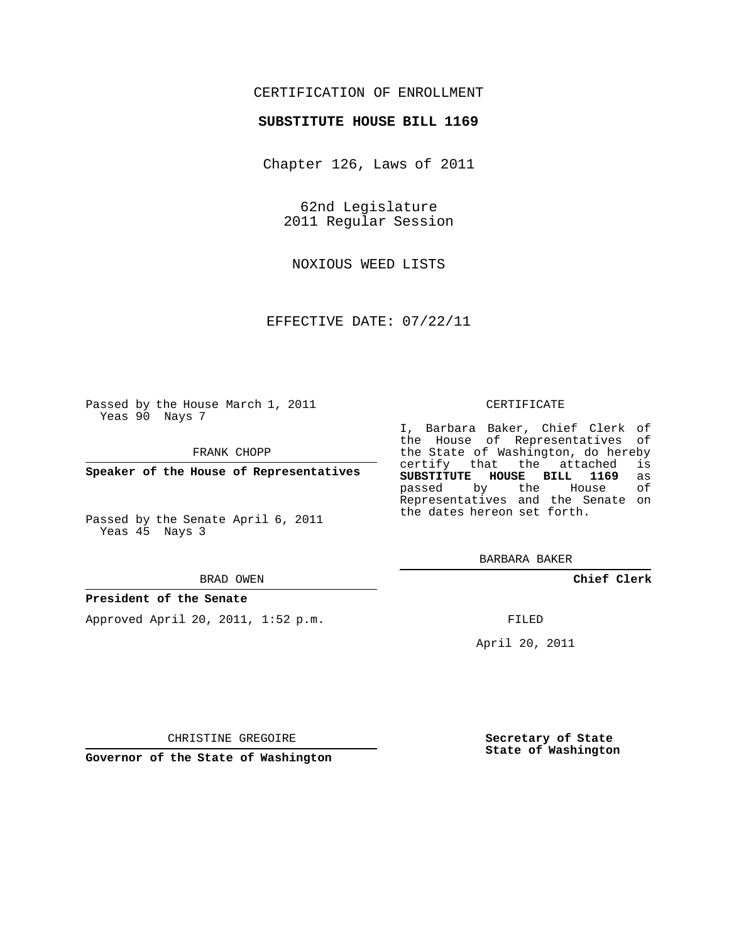## CERTIFICATION OF ENROLLMENT

### **SUBSTITUTE HOUSE BILL 1169**

Chapter 126, Laws of 2011

62nd Legislature 2011 Regular Session

NOXIOUS WEED LISTS

EFFECTIVE DATE: 07/22/11

Passed by the House March 1, 2011 Yeas 90 Nays 7

FRANK CHOPP

**Speaker of the House of Representatives**

Passed by the Senate April 6, 2011 Yeas 45 Nays 3

#### BRAD OWEN

#### **President of the Senate**

Approved April 20, 2011, 1:52 p.m.

#### CERTIFICATE

I, Barbara Baker, Chief Clerk of the House of Representatives of the State of Washington, do hereby<br>certify that the attached is certify that the attached **SUBSTITUTE HOUSE BILL 1169** as passed by the House Representatives and the Senate on the dates hereon set forth.

BARBARA BAKER

**Chief Clerk**

FILED

April 20, 2011

**Governor of the State of Washington**

CHRISTINE GREGOIRE

**Secretary of State State of Washington**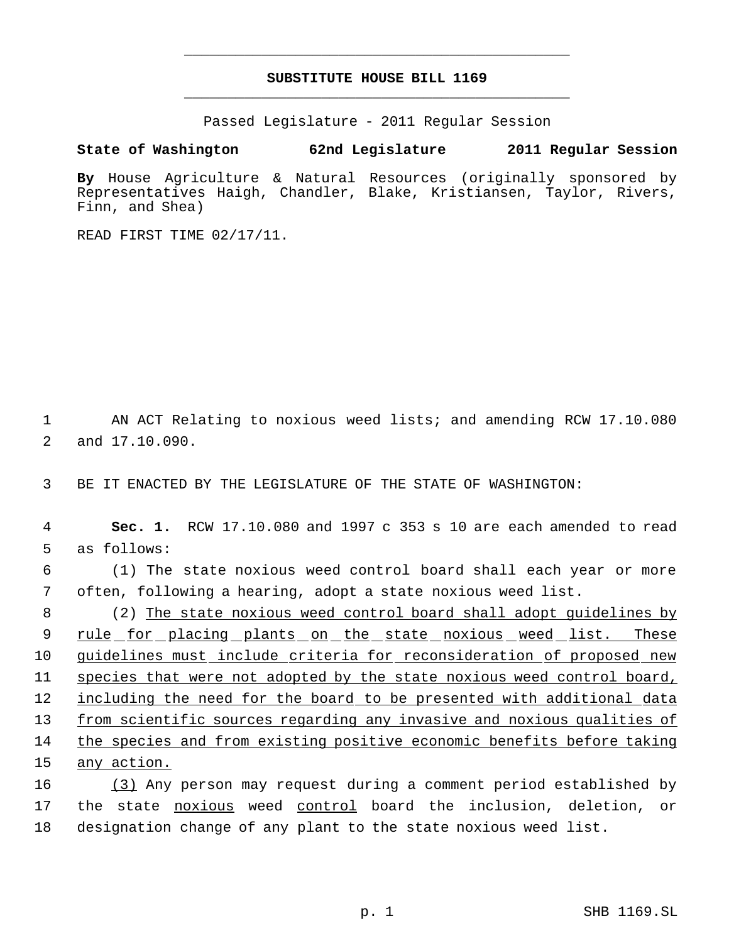# **SUBSTITUTE HOUSE BILL 1169** \_\_\_\_\_\_\_\_\_\_\_\_\_\_\_\_\_\_\_\_\_\_\_\_\_\_\_\_\_\_\_\_\_\_\_\_\_\_\_\_\_\_\_\_\_

\_\_\_\_\_\_\_\_\_\_\_\_\_\_\_\_\_\_\_\_\_\_\_\_\_\_\_\_\_\_\_\_\_\_\_\_\_\_\_\_\_\_\_\_\_

Passed Legislature - 2011 Regular Session

**State of Washington 62nd Legislature 2011 Regular Session**

**By** House Agriculture & Natural Resources (originally sponsored by Representatives Haigh, Chandler, Blake, Kristiansen, Taylor, Rivers, Finn, and Shea)

READ FIRST TIME 02/17/11.

 1 AN ACT Relating to noxious weed lists; and amending RCW 17.10.080 2 and 17.10.090.

3 BE IT ENACTED BY THE LEGISLATURE OF THE STATE OF WASHINGTON:

 4 **Sec. 1.** RCW 17.10.080 and 1997 c 353 s 10 are each amended to read 5 as follows:

 6 (1) The state noxious weed control board shall each year or more 7 often, following a hearing, adopt a state noxious weed list.

 (2) The state noxious weed control board shall adopt guidelines by 9 rule for placing plants on the state noxious weed list. These guidelines must include criteria for reconsideration of proposed new species that were not adopted by the state noxious weed control board, 12 including the need for the board to be presented with additional data 13 from scientific sources regarding any invasive and noxious qualities of the species and from existing positive economic benefits before taking any action.

16 (3) Any person may request during a comment period established by 17 the state noxious weed control board the inclusion, deletion, or 18 designation change of any plant to the state noxious weed list.